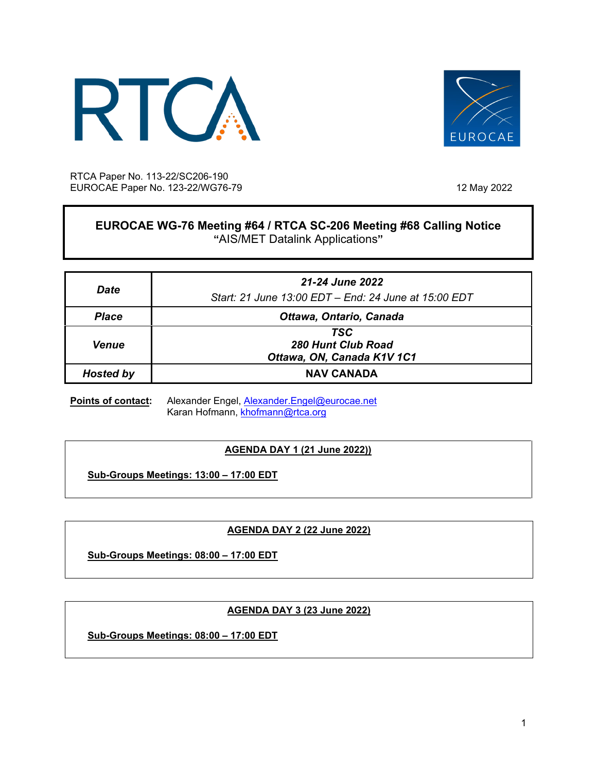



RTCA Paper No. 113-22/SC206-190 EUROCAE Paper No. 123-22/WG76-79 12 May 2022

# **EUROCAE WG-76 Meeting #64 / RTCA SC-206 Meeting #68 Calling Notice "**AIS/MET Datalink Applications**"**

| Date             | 21-24 June 2022<br>Start: 21 June 13:00 EDT - End: 24 June at 15:00 EDT |
|------------------|-------------------------------------------------------------------------|
| <b>Place</b>     | Ottawa, Ontario, Canada                                                 |
| <b>Venue</b>     | TSC<br>280 Hunt Club Road<br>Ottawa, ON, Canada K1V 1C1                 |
| <b>Hosted by</b> | <b>NAV CANADA</b>                                                       |

Points of contact: Alexander Engel, [Alexander.Engel@eurocae.net](mailto:alexander.engel@eurocae.net) Karan Hofmann, [khofmann@rtca.org](mailto:khofmann@rtca.org)

# **AGENDA DAY 1 (21 June 2022))**

**Sub-Groups Meetings: 13:00 – 17:00 EDT**

# **AGENDA DAY 2 (22 June 2022)**

**Sub-Groups Meetings: 08:00 – 17:00 EDT**

## **AGENDA DAY 3 (23 June 2022)**

**Sub-Groups Meetings: 08:00 – 17:00 EDT**